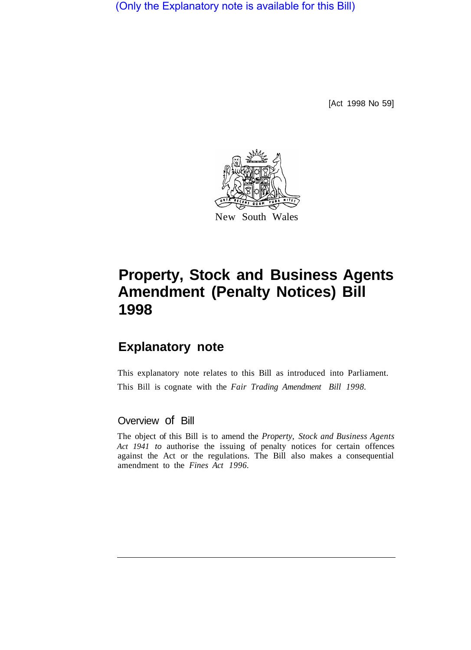(Only the Explanatory note is available for this Bill)

[Act 1998 No 59]



## **Property, Stock and Business Agents Amendment (Penalty Notices) Bill 1998**

## **Explanatory note**

This explanatory note relates to this Bill as introduced into Parliament. This Bill is cognate with the *Fair Trading Amendment Bill 1998.* 

## Overview of Bill

The object of this Bill is to amend the *Property, Stock and Business Agents Act 1941 to* authorise the issuing of penalty notices for certain offences against the Act or the regulations. The Bill also makes a consequential amendment to the *Fines Act 1996.*